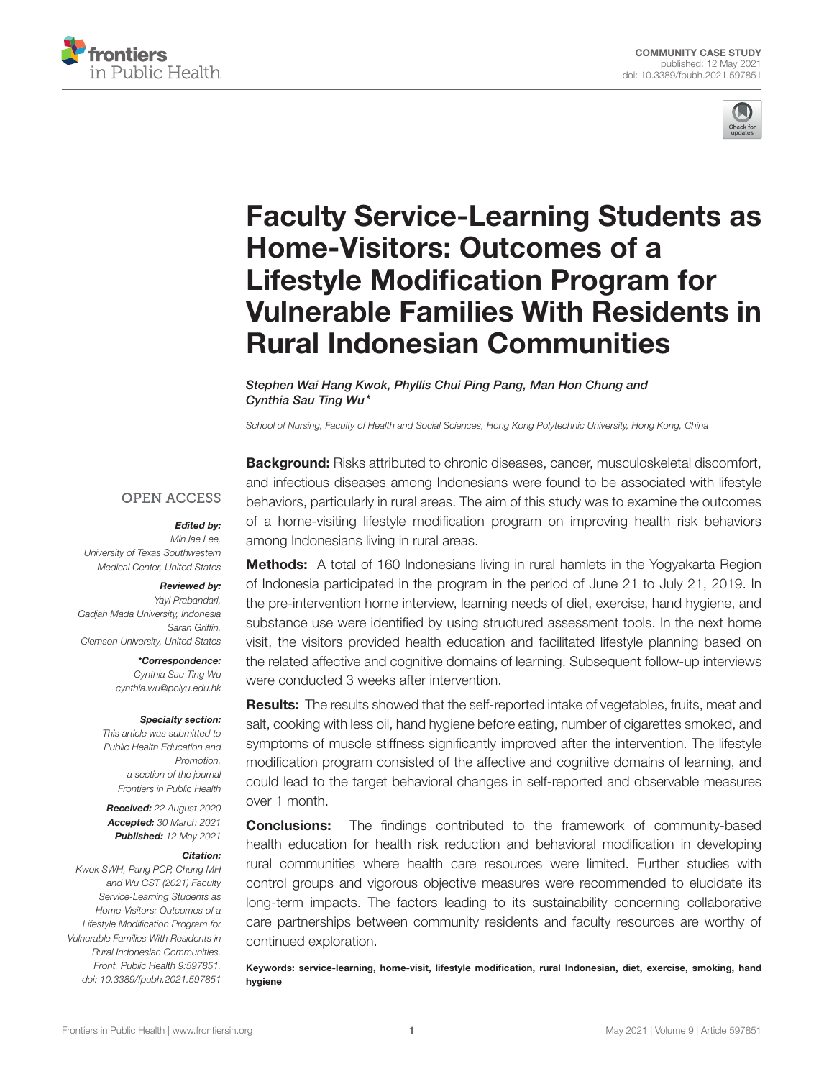



# Faculty Service-Learning Students as Home-Visitors: Outcomes of a Lifestyle Modification Program for [Vulnerable Families With Residents in](https://www.frontiersin.org/articles/10.3389/fpubh.2021.597851/full) Rural Indonesian Communities

Stephen Wai Hang Kwok, Phyllis Chui Ping Pang, Man Hon Chung and Cynthia Sau Ting Wu\*

*School of Nursing, Faculty of Health and Social Sciences, Hong Kong Polytechnic University, Hong Kong, China*

#### **OPEN ACCESS**

#### Edited by:

*MinJae Lee, University of Texas Southwestern Medical Center, United States*

#### Reviewed by:

*Yayi Prabandari, Gadjah Mada University, Indonesia Sarah Griffin, Clemson University, United States*

> \*Correspondence: *Cynthia Sau Ting Wu [cynthia.wu@polyu.edu.hk](mailto:cynthia.wu@polyu.edu.hk)*

#### Specialty section:

*This article was submitted to Public Health Education and Promotion, a section of the journal Frontiers in Public Health*

Received: *22 August 2020* Accepted: *30 March 2021* Published: *12 May 2021*

#### Citation:

*Kwok SWH, Pang PCP, Chung MH and Wu CST (2021) Faculty Service-Learning Students as Home-Visitors: Outcomes of a Lifestyle Modification Program for Vulnerable Families With Residents in Rural Indonesian Communities. Front. Public Health 9:597851. doi: [10.3389/fpubh.2021.597851](https://doi.org/10.3389/fpubh.2021.597851)*

**Background:** Risks attributed to chronic diseases, cancer, musculoskeletal discomfort, and infectious diseases among Indonesians were found to be associated with lifestyle behaviors, particularly in rural areas. The aim of this study was to examine the outcomes of a home-visiting lifestyle modification program on improving health risk behaviors among Indonesians living in rural areas.

**Methods:** A total of 160 Indonesians living in rural hamlets in the Yogyakarta Region of Indonesia participated in the program in the period of June 21 to July 21, 2019. In the pre-intervention home interview, learning needs of diet, exercise, hand hygiene, and substance use were identified by using structured assessment tools. In the next home visit, the visitors provided health education and facilitated lifestyle planning based on the related affective and cognitive domains of learning. Subsequent follow-up interviews were conducted 3 weeks after intervention.

**Results:** The results showed that the self-reported intake of vegetables, fruits, meat and salt, cooking with less oil, hand hygiene before eating, number of cigarettes smoked, and symptoms of muscle stiffness significantly improved after the intervention. The lifestyle modification program consisted of the affective and cognitive domains of learning, and could lead to the target behavioral changes in self-reported and observable measures over 1 month.

**Conclusions:** The findings contributed to the framework of community-based health education for health risk reduction and behavioral modification in developing rural communities where health care resources were limited. Further studies with control groups and vigorous objective measures were recommended to elucidate its long-term impacts. The factors leading to its sustainability concerning collaborative care partnerships between community residents and faculty resources are worthy of continued exploration.

Keywords: service-learning, home-visit, lifestyle modification, rural Indonesian, diet, exercise, smoking, hand hygiene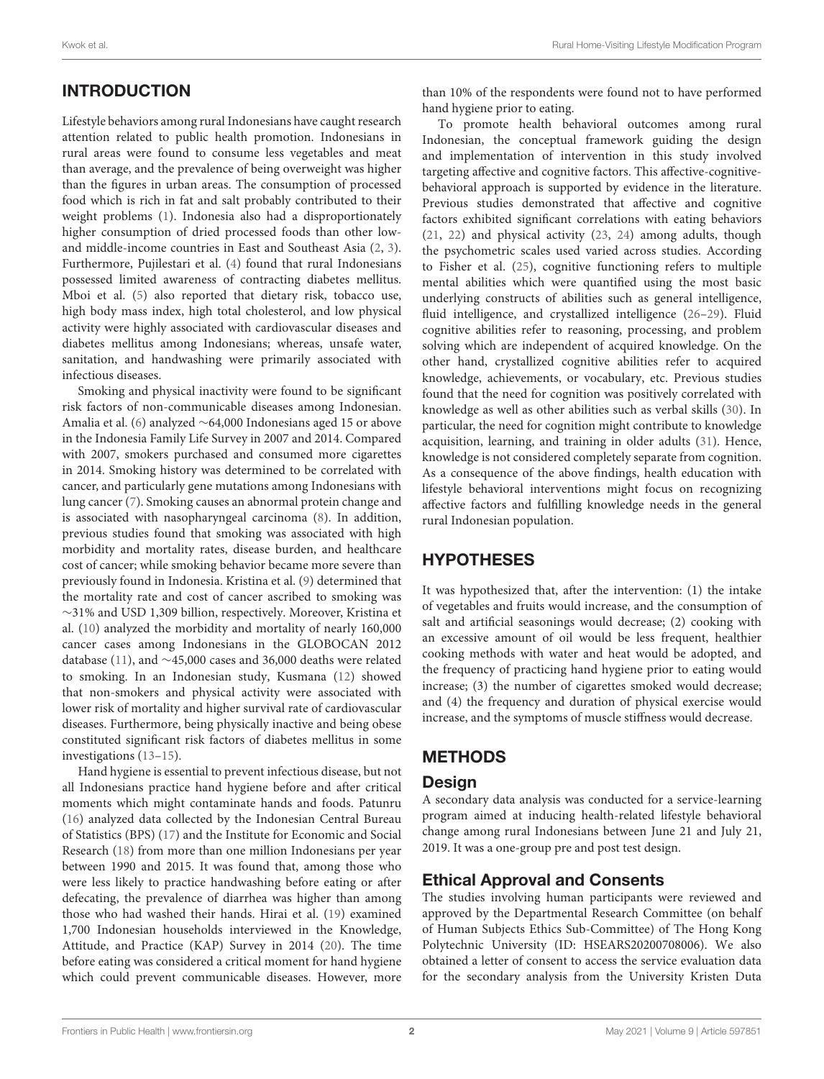# INTRODUCTION

Lifestyle behaviors among rural Indonesians have caught research attention related to public health promotion. Indonesians in rural areas were found to consume less vegetables and meat than average, and the prevalence of being overweight was higher than the figures in urban areas. The consumption of processed food which is rich in fat and salt probably contributed to their weight problems [\(1\)](#page-8-0). Indonesia also had a disproportionately higher consumption of dried processed foods than other lowand middle-income countries in East and Southeast Asia [\(2,](#page-8-1) [3\)](#page-8-2). Furthermore, Pujilestari et al. [\(4\)](#page-8-3) found that rural Indonesians possessed limited awareness of contracting diabetes mellitus. Mboi et al. [\(5\)](#page-8-4) also reported that dietary risk, tobacco use, high body mass index, high total cholesterol, and low physical activity were highly associated with cardiovascular diseases and diabetes mellitus among Indonesians; whereas, unsafe water, sanitation, and handwashing were primarily associated with infectious diseases.

Smoking and physical inactivity were found to be significant risk factors of non-communicable diseases among Indonesian. Amalia et al. [\(6\)](#page-8-5) analyzed ∼64,000 Indonesians aged 15 or above in the Indonesia Family Life Survey in 2007 and 2014. Compared with 2007, smokers purchased and consumed more cigarettes in 2014. Smoking history was determined to be correlated with cancer, and particularly gene mutations among Indonesians with lung cancer [\(7\)](#page-8-6). Smoking causes an abnormal protein change and is associated with nasopharyngeal carcinoma [\(8\)](#page-8-7). In addition, previous studies found that smoking was associated with high morbidity and mortality rates, disease burden, and healthcare cost of cancer; while smoking behavior became more severe than previously found in Indonesia. Kristina et al. [\(9\)](#page-8-8) determined that the mortality rate and cost of cancer ascribed to smoking was ∼31% and USD 1,309 billion, respectively. Moreover, Kristina et al. [\(10\)](#page-8-9) analyzed the morbidity and mortality of nearly 160,000 cancer cases among Indonesians in the GLOBOCAN 2012 database [\(11\)](#page-8-10), and ∼45,000 cases and 36,000 deaths were related to smoking. In an Indonesian study, Kusmana [\(12\)](#page-8-11) showed that non-smokers and physical activity were associated with lower risk of mortality and higher survival rate of cardiovascular diseases. Furthermore, being physically inactive and being obese constituted significant risk factors of diabetes mellitus in some investigations [\(13–](#page-8-12)[15\)](#page-8-13).

Hand hygiene is essential to prevent infectious disease, but not all Indonesians practice hand hygiene before and after critical moments which might contaminate hands and foods. Patunru [\(16\)](#page-8-14) analyzed data collected by the Indonesian Central Bureau of Statistics (BPS) [\(17\)](#page-8-15) and the Institute for Economic and Social Research [\(18\)](#page-8-16) from more than one million Indonesians per year between 1990 and 2015. It was found that, among those who were less likely to practice handwashing before eating or after defecating, the prevalence of diarrhea was higher than among those who had washed their hands. Hirai et al. [\(19\)](#page-8-17) examined 1,700 Indonesian households interviewed in the Knowledge, Attitude, and Practice (KAP) Survey in 2014 [\(20\)](#page-8-18). The time before eating was considered a critical moment for hand hygiene which could prevent communicable diseases. However, more than 10% of the respondents were found not to have performed hand hygiene prior to eating.

To promote health behavioral outcomes among rural Indonesian, the conceptual framework guiding the design and implementation of intervention in this study involved targeting affective and cognitive factors. This affective-cognitivebehavioral approach is supported by evidence in the literature. Previous studies demonstrated that affective and cognitive factors exhibited significant correlations with eating behaviors [\(21,](#page-8-19) [22\)](#page-8-20) and physical activity [\(23,](#page-9-0) [24\)](#page-9-1) among adults, though the psychometric scales used varied across studies. According to Fisher et al. [\(25\)](#page-9-2), cognitive functioning refers to multiple mental abilities which were quantified using the most basic underlying constructs of abilities such as general intelligence, fluid intelligence, and crystallized intelligence [\(26](#page-9-3)[–29\)](#page-9-4). Fluid cognitive abilities refer to reasoning, processing, and problem solving which are independent of acquired knowledge. On the other hand, crystallized cognitive abilities refer to acquired knowledge, achievements, or vocabulary, etc. Previous studies found that the need for cognition was positively correlated with knowledge as well as other abilities such as verbal skills [\(30\)](#page-9-5). In particular, the need for cognition might contribute to knowledge acquisition, learning, and training in older adults [\(31\)](#page-9-6). Hence, knowledge is not considered completely separate from cognition. As a consequence of the above findings, health education with lifestyle behavioral interventions might focus on recognizing affective factors and fulfilling knowledge needs in the general rural Indonesian population.

### **HYPOTHESES**

It was hypothesized that, after the intervention: (1) the intake of vegetables and fruits would increase, and the consumption of salt and artificial seasonings would decrease; (2) cooking with an excessive amount of oil would be less frequent, healthier cooking methods with water and heat would be adopted, and the frequency of practicing hand hygiene prior to eating would increase; (3) the number of cigarettes smoked would decrease; and (4) the frequency and duration of physical exercise would increase, and the symptoms of muscle stiffness would decrease.

### METHODS

### **Design**

A secondary data analysis was conducted for a service-learning program aimed at inducing health-related lifestyle behavioral change among rural Indonesians between June 21 and July 21, 2019. It was a one-group pre and post test design.

### Ethical Approval and Consents

The studies involving human participants were reviewed and approved by the Departmental Research Committee (on behalf of Human Subjects Ethics Sub-Committee) of The Hong Kong Polytechnic University (ID: HSEARS20200708006). We also obtained a letter of consent to access the service evaluation data for the secondary analysis from the University Kristen Duta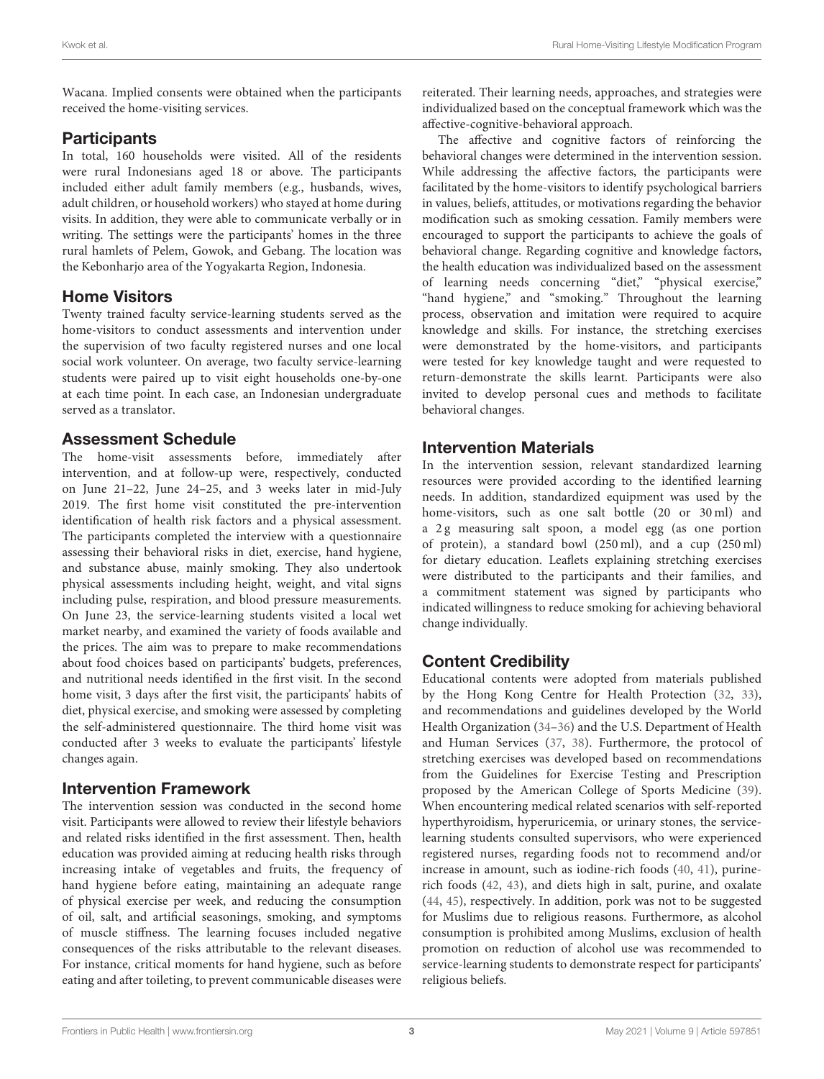Wacana. Implied consents were obtained when the participants received the home-visiting services.

### **Participants**

In total, 160 households were visited. All of the residents were rural Indonesians aged 18 or above. The participants included either adult family members (e.g., husbands, wives, adult children, or household workers) who stayed at home during visits. In addition, they were able to communicate verbally or in writing. The settings were the participants' homes in the three rural hamlets of Pelem, Gowok, and Gebang. The location was the Kebonharjo area of the Yogyakarta Region, Indonesia.

### Home Visitors

Twenty trained faculty service-learning students served as the home-visitors to conduct assessments and intervention under the supervision of two faculty registered nurses and one local social work volunteer. On average, two faculty service-learning students were paired up to visit eight households one-by-one at each time point. In each case, an Indonesian undergraduate served as a translator.

# Assessment Schedule

The home-visit assessments before, immediately after intervention, and at follow-up were, respectively, conducted on June 21–22, June 24–25, and 3 weeks later in mid-July 2019. The first home visit constituted the pre-intervention identification of health risk factors and a physical assessment. The participants completed the interview with a questionnaire assessing their behavioral risks in diet, exercise, hand hygiene, and substance abuse, mainly smoking. They also undertook physical assessments including height, weight, and vital signs including pulse, respiration, and blood pressure measurements. On June 23, the service-learning students visited a local wet market nearby, and examined the variety of foods available and the prices. The aim was to prepare to make recommendations about food choices based on participants' budgets, preferences, and nutritional needs identified in the first visit. In the second home visit, 3 days after the first visit, the participants' habits of diet, physical exercise, and smoking were assessed by completing the self-administered questionnaire. The third home visit was conducted after 3 weeks to evaluate the participants' lifestyle changes again.

### Intervention Framework

The intervention session was conducted in the second home visit. Participants were allowed to review their lifestyle behaviors and related risks identified in the first assessment. Then, health education was provided aiming at reducing health risks through increasing intake of vegetables and fruits, the frequency of hand hygiene before eating, maintaining an adequate range of physical exercise per week, and reducing the consumption of oil, salt, and artificial seasonings, smoking, and symptoms of muscle stiffness. The learning focuses included negative consequences of the risks attributable to the relevant diseases. For instance, critical moments for hand hygiene, such as before eating and after toileting, to prevent communicable diseases were reiterated. Their learning needs, approaches, and strategies were individualized based on the conceptual framework which was the affective-cognitive-behavioral approach.

The affective and cognitive factors of reinforcing the behavioral changes were determined in the intervention session. While addressing the affective factors, the participants were facilitated by the home-visitors to identify psychological barriers in values, beliefs, attitudes, or motivations regarding the behavior modification such as smoking cessation. Family members were encouraged to support the participants to achieve the goals of behavioral change. Regarding cognitive and knowledge factors, the health education was individualized based on the assessment of learning needs concerning "diet," "physical exercise," "hand hygiene," and "smoking." Throughout the learning process, observation and imitation were required to acquire knowledge and skills. For instance, the stretching exercises were demonstrated by the home-visitors, and participants were tested for key knowledge taught and were requested to return-demonstrate the skills learnt. Participants were also invited to develop personal cues and methods to facilitate behavioral changes.

### Intervention Materials

In the intervention session, relevant standardized learning resources were provided according to the identified learning needs. In addition, standardized equipment was used by the home-visitors, such as one salt bottle (20 or 30 ml) and a 2 g measuring salt spoon, a model egg (as one portion of protein), a standard bowl (250 ml), and a cup (250 ml) for dietary education. Leaflets explaining stretching exercises were distributed to the participants and their families, and a commitment statement was signed by participants who indicated willingness to reduce smoking for achieving behavioral change individually.

# Content Credibility

Educational contents were adopted from materials published by the Hong Kong Centre for Health Protection [\(32,](#page-9-7) [33\)](#page-9-8), and recommendations and guidelines developed by the World Health Organization [\(34](#page-9-9)[–36\)](#page-9-10) and the U.S. Department of Health and Human Services [\(37,](#page-9-11) [38\)](#page-9-12). Furthermore, the protocol of stretching exercises was developed based on recommendations from the Guidelines for Exercise Testing and Prescription proposed by the American College of Sports Medicine [\(39\)](#page-9-13). When encountering medical related scenarios with self-reported hyperthyroidism, hyperuricemia, or urinary stones, the servicelearning students consulted supervisors, who were experienced registered nurses, regarding foods not to recommend and/or increase in amount, such as iodine-rich foods [\(40,](#page-9-14) [41\)](#page-9-15), purinerich foods [\(42,](#page-9-16) [43\)](#page-9-17), and diets high in salt, purine, and oxalate [\(44,](#page-9-18) [45\)](#page-9-19), respectively. In addition, pork was not to be suggested for Muslims due to religious reasons. Furthermore, as alcohol consumption is prohibited among Muslims, exclusion of health promotion on reduction of alcohol use was recommended to service-learning students to demonstrate respect for participants' religious beliefs.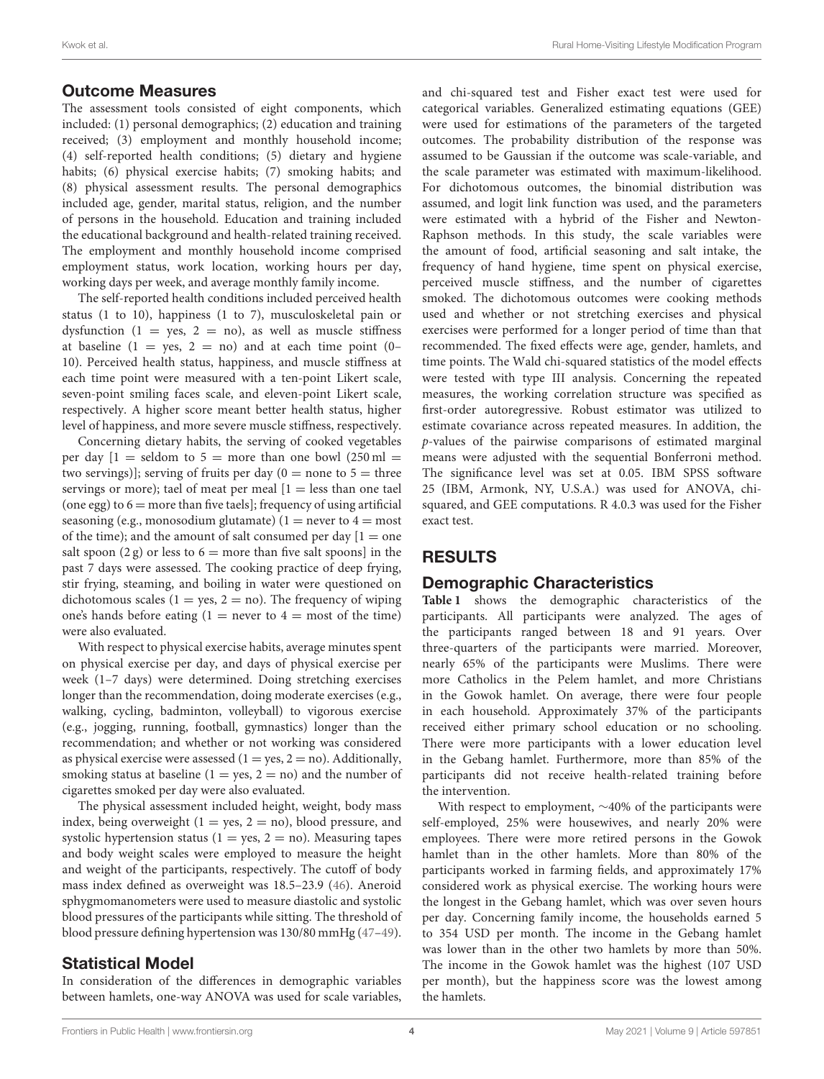### Outcome Measures

The assessment tools consisted of eight components, which included: (1) personal demographics; (2) education and training received; (3) employment and monthly household income; (4) self-reported health conditions; (5) dietary and hygiene habits; (6) physical exercise habits; (7) smoking habits; and (8) physical assessment results. The personal demographics included age, gender, marital status, religion, and the number of persons in the household. Education and training included the educational background and health-related training received. The employment and monthly household income comprised employment status, work location, working hours per day, working days per week, and average monthly family income.

The self-reported health conditions included perceived health status (1 to 10), happiness (1 to 7), musculoskeletal pain or dysfunction  $(1 = yes, 2 = no)$ , as well as muscle stiffness at baseline  $(1 = yes, 2 = no)$  and at each time point  $(0 -$ 10). Perceived health status, happiness, and muscle stiffness at each time point were measured with a ten-point Likert scale, seven-point smiling faces scale, and eleven-point Likert scale, respectively. A higher score meant better health status, higher level of happiness, and more severe muscle stiffness, respectively.

Concerning dietary habits, the serving of cooked vegetables per day  $[1 =$  seldom to  $5 =$  more than one bowl  $(250 \text{ ml} =$ two servings)]; serving of fruits per day  $(0 =$  none to  $5 =$  three servings or more); tael of meat per meal  $[1 =$  less than one tael (one egg) to  $6 =$  more than five taels]; frequency of using artificial seasoning (e.g., monosodium glutamate) (1 = never to  $4 =$  most of the time); and the amount of salt consumed per day  $[1 =$  one salt spoon  $(2 g)$  or less to  $6 =$  more than five salt spoons] in the past 7 days were assessed. The cooking practice of deep frying, stir frying, steaming, and boiling in water were questioned on dichotomous scales ( $1 = yes$ ,  $2 = no$ ). The frequency of wiping one's hands before eating  $(1 =$  never to  $4 =$  most of the time) were also evaluated.

With respect to physical exercise habits, average minutes spent on physical exercise per day, and days of physical exercise per week (1–7 days) were determined. Doing stretching exercises longer than the recommendation, doing moderate exercises (e.g., walking, cycling, badminton, volleyball) to vigorous exercise (e.g., jogging, running, football, gymnastics) longer than the recommendation; and whether or not working was considered as physical exercise were assessed ( $1 = yes$ ,  $2 = no$ ). Additionally, smoking status at baseline ( $1 = yes$ ,  $2 = no$ ) and the number of cigarettes smoked per day were also evaluated.

The physical assessment included height, weight, body mass index, being overweight  $(1 = yes, 2 = no)$ , blood pressure, and systolic hypertension status ( $1 = yes$ ,  $2 = no$ ). Measuring tapes and body weight scales were employed to measure the height and weight of the participants, respectively. The cutoff of body mass index defined as overweight was 18.5–23.9 [\(46\)](#page-9-20). Aneroid sphygmomanometers were used to measure diastolic and systolic blood pressures of the participants while sitting. The threshold of blood pressure defining hypertension was 130/80 mmHg [\(47–](#page-9-21)[49\)](#page-9-22).

### Statistical Model

In consideration of the differences in demographic variables between hamlets, one-way ANOVA was used for scale variables,

and chi-squared test and Fisher exact test were used for categorical variables. Generalized estimating equations (GEE) were used for estimations of the parameters of the targeted outcomes. The probability distribution of the response was assumed to be Gaussian if the outcome was scale-variable, and the scale parameter was estimated with maximum-likelihood. For dichotomous outcomes, the binomial distribution was assumed, and logit link function was used, and the parameters were estimated with a hybrid of the Fisher and Newton-Raphson methods. In this study, the scale variables were the amount of food, artificial seasoning and salt intake, the frequency of hand hygiene, time spent on physical exercise, perceived muscle stiffness, and the number of cigarettes smoked. The dichotomous outcomes were cooking methods used and whether or not stretching exercises and physical exercises were performed for a longer period of time than that recommended. The fixed effects were age, gender, hamlets, and time points. The Wald chi-squared statistics of the model effects were tested with type III analysis. Concerning the repeated measures, the working correlation structure was specified as first-order autoregressive. Robust estimator was utilized to estimate covariance across repeated measures. In addition, the p-values of the pairwise comparisons of estimated marginal means were adjusted with the sequential Bonferroni method. The significance level was set at 0.05. IBM SPSS software 25 (IBM, Armonk, NY, U.S.A.) was used for ANOVA, chisquared, and GEE computations. R 4.0.3 was used for the Fisher exact test.

### RESULTS

### Demographic Characteristics

**[Table 1](#page-4-0)** shows the demographic characteristics of the participants. All participants were analyzed. The ages of the participants ranged between 18 and 91 years. Over three-quarters of the participants were married. Moreover, nearly 65% of the participants were Muslims. There were more Catholics in the Pelem hamlet, and more Christians in the Gowok hamlet. On average, there were four people in each household. Approximately 37% of the participants received either primary school education or no schooling. There were more participants with a lower education level in the Gebang hamlet. Furthermore, more than 85% of the participants did not receive health-related training before the intervention.

With respect to employment, ∼40% of the participants were self-employed, 25% were housewives, and nearly 20% were employees. There were more retired persons in the Gowok hamlet than in the other hamlets. More than 80% of the participants worked in farming fields, and approximately 17% considered work as physical exercise. The working hours were the longest in the Gebang hamlet, which was over seven hours per day. Concerning family income, the households earned 5 to 354 USD per month. The income in the Gebang hamlet was lower than in the other two hamlets by more than 50%. The income in the Gowok hamlet was the highest (107 USD per month), but the happiness score was the lowest among the hamlets.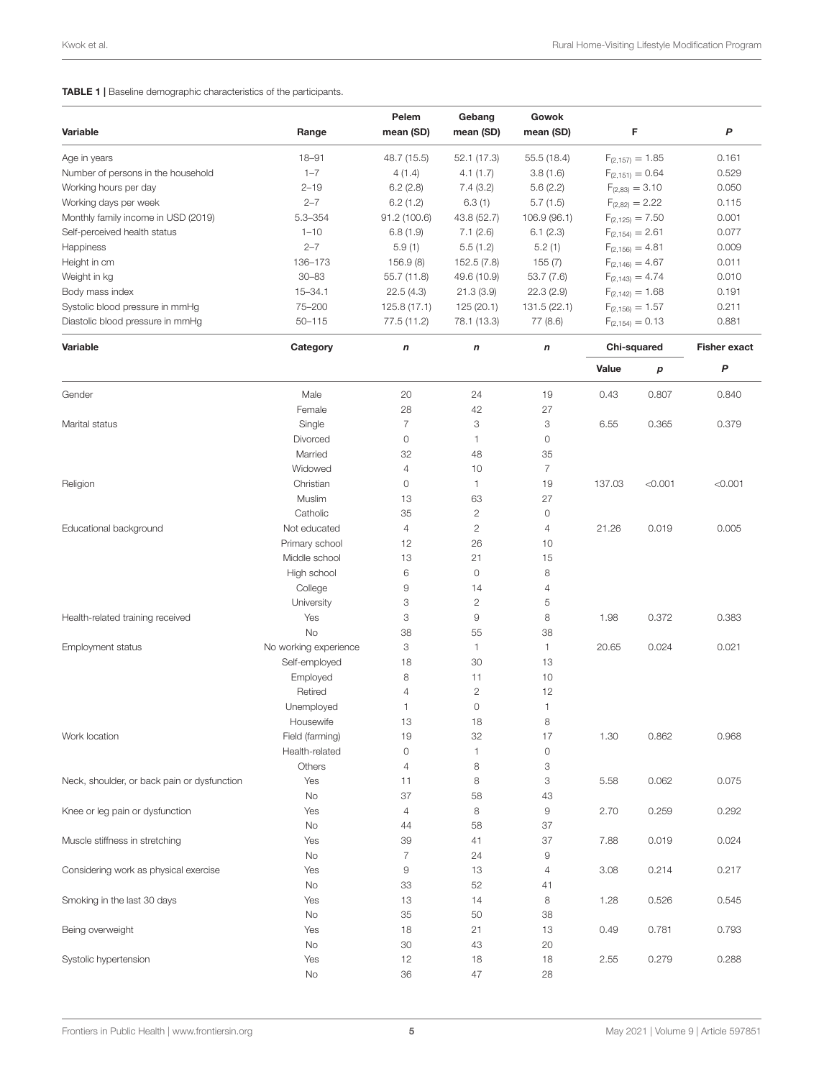### <span id="page-4-0"></span>TABLE 1 | Baseline demographic characteristics of the participants.

| Variable                                    | Range                 | Pelem<br>mean (SD)                                                      | Gebang<br>mean (SD) | Gowok<br>mean (SD)  |                      | F                    | P       |
|---------------------------------------------|-----------------------|-------------------------------------------------------------------------|---------------------|---------------------|----------------------|----------------------|---------|
| Age in years                                | $18 - 91$             | 48.7 (15.5)                                                             | 52.1 (17.3)         | 55.5 (18.4)         |                      | $F_{(2,157)} = 1.85$ | 0.161   |
| Number of persons in the household          | $1 - 7$               | 4(1.4)                                                                  | 4.1(1.7)            | 3.8(1.6)            |                      | $F_{(2,151)} = 0.64$ | 0.529   |
| Working hours per day                       | $2 - 19$              | 6.2(2.8)                                                                | 7.4(3.2)            | 5.6(2.2)            | $F_{(2,83)} = 3.10$  |                      | 0.050   |
| Working days per week                       | $2 - 7$               | 6.2(1.2)                                                                | 6.3(1)              | 5.7(1.5)            | $F_{(2,82)} = 2.22$  |                      | 0.115   |
| Monthly family income in USD (2019)         | $5.3 - 354$           | 91.2 (100.6)                                                            | 43.8 (52.7)         | 106.9 (96.1)        | $F_{(2,125)} = 7.50$ |                      | 0.001   |
| Self-perceived health status                | $1 - 10$              | 6.8(1.9)                                                                | 7.1(2.6)            | 6.1(2.3)            |                      | $F_{(2,154)} = 2.61$ | 0.077   |
| Happiness                                   | $2 - 7$               | 5.9(1)                                                                  | 5.5(1.2)            | 5.2(1)              |                      | $F_{(2,156)} = 4.81$ | 0.009   |
|                                             | 136-173               | 156.9(8)                                                                |                     |                     |                      | $F_{(2,146)} = 4.67$ | 0.011   |
| Height in cm                                |                       |                                                                         | 152.5 (7.8)         | 155(7)              |                      |                      |         |
| Weight in kg                                | $30 - 83$             | 55.7 (11.8)                                                             | 49.6 (10.9)         | 53.7 (7.6)          |                      | $F_{(2,143)} = 4.74$ | 0.010   |
| Body mass index                             | $15 - 34.1$           | 22.5(4.3)                                                               | 21.3(3.9)           | 22.3(2.9)           |                      | $F_{(2,142)} = 1.68$ | 0.191   |
| Systolic blood pressure in mmHg             | 75-200                | 125.8 (17.1)                                                            | 125(20.1)           | 131.5 (22.1)        |                      | $F_{(2.156)} = 1.57$ | 0.211   |
| Diastolic blood pressure in mmHg            | $50 - 115$            | 77.5 (11.2)                                                             | 78.1 (13.3)         | 77 (8.6)            |                      | $F_{(2,154)} = 0.13$ | 0.881   |
| Variable                                    | Category              | Chi-squared<br>$\boldsymbol{n}$<br>$\boldsymbol{n}$<br>$\boldsymbol{n}$ |                     |                     | <b>Fisher exact</b>  |                      |         |
|                                             |                       |                                                                         |                     |                     | Value                | р                    | P       |
| Gender                                      | Male                  | 20                                                                      | 24                  | 19                  | 0.43                 | 0.807                | 0.840   |
|                                             | Female                | 28                                                                      | 42                  | 27                  |                      |                      |         |
| Marital status                              | Single                | $\overline{7}$                                                          | 3                   | 3                   | 6.55                 | 0.365                | 0.379   |
|                                             | Divorced              | 0                                                                       | 1                   | 0                   |                      |                      |         |
|                                             | Married               | 32                                                                      | 48                  | 35                  |                      |                      |         |
|                                             | Widowed               | $\overline{4}$                                                          | 10                  | $\overline{7}$      |                      |                      |         |
| Religion                                    | Christian             | $\circ$                                                                 | 1                   | 19                  | 137.03               | < 0.001              | < 0.001 |
|                                             | Muslim                | 13                                                                      | 63                  | 27                  |                      |                      |         |
|                                             | Catholic              | 35                                                                      | $\overline{c}$      | 0                   |                      |                      |         |
| Educational background                      | Not educated          | $\overline{4}$                                                          | $\overline{c}$      | 4                   | 21.26                | 0.019                | 0.005   |
|                                             | Primary school        | 12                                                                      | 26                  | 10                  |                      |                      |         |
|                                             | Middle school         | 13                                                                      | 21                  | 15                  |                      |                      |         |
|                                             | High school           | 6                                                                       | 0                   | 8                   |                      |                      |         |
|                                             |                       |                                                                         |                     |                     |                      |                      |         |
|                                             | College               | 9                                                                       | 14                  | 4                   |                      |                      |         |
|                                             | University            | 3                                                                       | $\overline{c}$      | 5                   |                      |                      |         |
| Health-related training received            | Yes                   | 3                                                                       | 9                   | 8                   | 1.98                 | 0.372                | 0.383   |
|                                             | <b>No</b>             | 38                                                                      | 55                  | 38                  |                      |                      |         |
| Employment status                           | No working experience | 3                                                                       | 1                   | 1                   | 20.65                | 0.024                | 0.021   |
|                                             | Self-employed         | 18                                                                      | 30                  | 13                  |                      |                      |         |
|                                             | Employed              | 8                                                                       | 11                  | 10                  |                      |                      |         |
|                                             | Retired               | 4                                                                       | $\mathbf{2}$        | 12                  |                      |                      |         |
|                                             | Unemployed            | 1                                                                       | 0                   | 1                   |                      |                      |         |
|                                             | Housewife             | 13                                                                      | 18                  | 8                   |                      |                      |         |
| Work location                               | Field (farming)       | 19                                                                      | 32                  | 17                  | 1.30                 | 0.862                | 0.968   |
|                                             | Health-related        | 0                                                                       | 1                   | $\mathsf{O}\xspace$ |                      |                      |         |
|                                             | Others                | 4                                                                       | 8                   | 3                   |                      |                      |         |
| Neck, shoulder, or back pain or dysfunction | Yes                   | 11                                                                      | 8                   | 3                   | 5.58                 | 0.062                | 0.075   |
|                                             | No                    | 37                                                                      | 58                  | 43                  |                      |                      |         |
| Knee or leg pain or dysfunction             | Yes                   | 4                                                                       | 8                   | 9                   | 2.70                 | 0.259                | 0.292   |
|                                             | No                    | 44                                                                      | 58                  | 37                  |                      |                      |         |
| Muscle stiffness in stretching              | Yes                   | 39                                                                      | 41                  | 37                  | 7.88                 | 0.019                | 0.024   |
|                                             | No                    | 7                                                                       | 24                  | 9                   |                      |                      |         |
| Considering work as physical exercise       | Yes                   | 9                                                                       | 13                  | 4                   | 3.08                 | 0.214                | 0.217   |
|                                             | No                    | 33                                                                      | 52                  | 41                  |                      |                      |         |
| Smoking in the last 30 days                 | Yes                   | 13                                                                      | 14                  | 8                   | 1.28                 | 0.526                | 0.545   |
|                                             | No                    | 35                                                                      | 50                  | 38                  |                      |                      |         |
|                                             |                       | 18                                                                      | 21                  |                     | 0.49                 | 0.781                | 0.793   |
| Being overweight                            | Yes                   |                                                                         |                     | 13                  |                      |                      |         |
|                                             | No                    | 30                                                                      | 43                  | 20                  |                      |                      |         |
| Systolic hypertension                       | Yes                   | 12                                                                      | 18                  | 18                  | 2.55                 | 0.279                | 0.288   |
|                                             | No                    | 36                                                                      | 47                  | 28                  |                      |                      |         |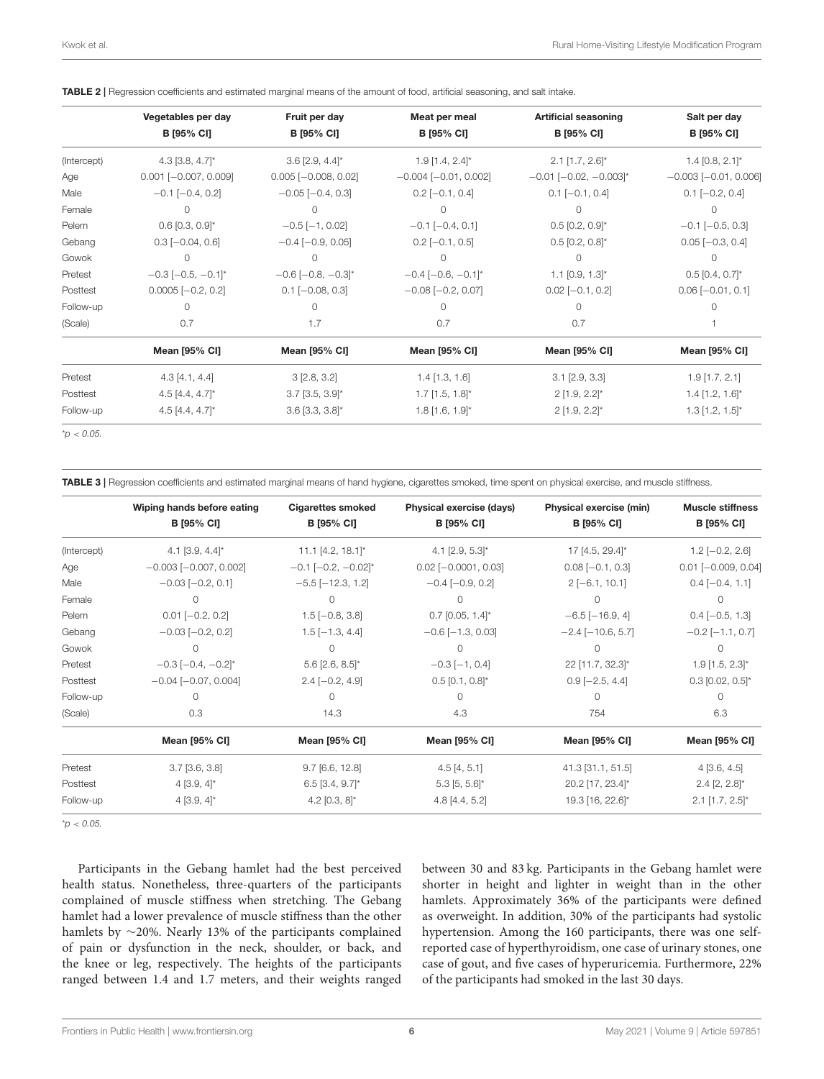|                                                                                                                                                                                                                                                                                                                                                                                                     | Vegetables per day<br><b>B</b> [95% CI] | Fruit per day<br><b>B</b> [95% CI] | Meat per meal<br><b>B</b> [95% CI] | <b>Artificial seasoning</b><br><b>B</b> [95% CI] | Salt per day<br><b>B</b> [95% CI] |
|-----------------------------------------------------------------------------------------------------------------------------------------------------------------------------------------------------------------------------------------------------------------------------------------------------------------------------------------------------------------------------------------------------|-----------------------------------------|------------------------------------|------------------------------------|--------------------------------------------------|-----------------------------------|
| (Intercept)                                                                                                                                                                                                                                                                                                                                                                                         | $4.3$ [3.8, 4.7]*                       | $3.6$ [2.9, 4.4]*                  | $1.9$ [1.4, 2.4]*                  | $2.1$ [1.7, $2.6$ ]*                             | $1.4$ [0.8, 2.1]*                 |
| Age                                                                                                                                                                                                                                                                                                                                                                                                 | $0.001$ [-0.007, 0.009]                 | $0.005$ [ $-0.008$ , 0.02]         | $-0.004$ [ $-0.01$ , 0.002]        | $-0.01$ [ $-0.02$ , $-0.003$ ]*                  | $-0.003$ [ $-0.01$ , 0.006]       |
| Male                                                                                                                                                                                                                                                                                                                                                                                                | $-0.1$ $[-0.4, 0.2]$                    | $-0.05$ [ $-0.4$ , 0.3]            | $0.2$ [-0.1, 0.4]                  | $0.1$ [-0.1, 0.4]                                | $0.1$ [-0.2, 0.4]                 |
| Female                                                                                                                                                                                                                                                                                                                                                                                              | $\Omega$                                | $\Omega$                           | $\Omega$                           | 0                                                | $\circ$                           |
| Pelem                                                                                                                                                                                                                                                                                                                                                                                               | $0.6$ [0.3, 0.9]*                       | $-0.5$ [ $-1$ , 0.02]              | $-0.1$ [ $-0.4$ , 0.1]             | $0.5$ [0.2, 0.9]*                                | $-0.1$ $[-0.5, 0.3]$              |
| Gebang                                                                                                                                                                                                                                                                                                                                                                                              | $0.3$ [ $-0.04$ , $0.6$ ]               | $-0.4$ [ $-0.9$ , 0.05]            | $0.2$ [-0.1, 0.5]                  | $0.5$ [0.2, 0.8]*                                | $0.05$ [ $-0.3$ , 0.4]            |
| Gowok                                                                                                                                                                                                                                                                                                                                                                                               | $\Omega$                                |                                    | $\Omega$                           | 0                                                | $\Omega$                          |
| Pretest                                                                                                                                                                                                                                                                                                                                                                                             | $-0.3$ [ $-0.5$ , $-0.1$ ]*             | $-0.6$ [ $-0.8$ , $-0.3$ ]*        | $-0.4$ [ $-0.6$ , $-0.1$ ]*        | 1.1 $[0.9, 1.3]$ <sup>*</sup>                    | $0.5$ [0.4, 0.7]*                 |
| Posttest                                                                                                                                                                                                                                                                                                                                                                                            | $0.0005$ [-0.2, 0.2]                    | $0.1$ [ $-0.08$ , $0.3$ ]          | $-0.08$ [ $-0.2$ , 0.07]           | $0.02$ [ $-0.1$ , 0.2]                           | $0.06$ [ $-0.01$ , 0.1]           |
| Follow-up                                                                                                                                                                                                                                                                                                                                                                                           | $\bigcap$                               | O.                                 | $\cap$                             | 0                                                | $\cap$                            |
| (Scale)                                                                                                                                                                                                                                                                                                                                                                                             | 0.7                                     | 1.7                                | 0.7                                | 0.7                                              |                                   |
|                                                                                                                                                                                                                                                                                                                                                                                                     | <b>Mean [95% CI]</b>                    | <b>Mean [95% CI]</b>               | <b>Mean [95% CI]</b>               | <b>Mean [95% CI]</b>                             | <b>Mean [95% CI]</b>              |
| Pretest                                                                                                                                                                                                                                                                                                                                                                                             | $4.3$ [4.1, 4.4]                        | $3$ [2.8, 3.2]                     | $1.4$ [1.3, 1.6]                   | $3.1$ [ $2.9, 3.3$ ]                             | $1.9$ [1.7, 2.1]                  |
| Posttest                                                                                                                                                                                                                                                                                                                                                                                            | 4.5 $[4.4, 4.7]$ *                      | $3.7$ [3.5, $3.9$ ]*               | $1.7$ [1.5, $1.8$ ]*               | $2$ [1.9, 2.2]*                                  | $1.4$ [1.2, $1.6$ ]*              |
| Follow-up                                                                                                                                                                                                                                                                                                                                                                                           | $4.5$ [4.4, 4.7]*                       | $3.6$ [3.3, $3.8$ ]*               | $1.8$ [1.6, $1.9$ ]*               | $2$ [1.9, 2.2]*                                  | $1.3$ [1.2, $1.5$ ]*              |
| $\ddot{\phantom{1}}$ $\ddot{\phantom{1}}$ $\ddot{\phantom{1}}$ $\ddot{\phantom{1}}$ $\ddot{\phantom{1}}$ $\ddot{\phantom{1}}$ $\ddot{\phantom{1}}$ $\ddot{\phantom{1}}$ $\ddot{\phantom{1}}$ $\ddot{\phantom{1}}$ $\ddot{\phantom{1}}$ $\ddot{\phantom{1}}$ $\ddot{\phantom{1}}$ $\ddot{\phantom{1}}$ $\ddot{\phantom{1}}$ $\ddot{\phantom{1}}$ $\ddot{\phantom{1}}$ $\ddot{\phantom{1}}$ $\ddot{\$ |                                         |                                    |                                    |                                                  |                                   |

#### <span id="page-5-0"></span>TABLE 2 | Regression coefficients and estimated marginal means of the amount of food, artificial seasoning, and salt intake.

\**p* < *0.05.*

<span id="page-5-1"></span>TABLE 3 | Regression coefficients and estimated marginal means of hand hygiene, cigarettes smoked, time spent on physical exercise, and muscle stiffness.

|             | Wiping hands before eating<br><b>B</b> [95% CI] | <b>Cigarettes smoked</b><br><b>B</b> [95% CI] | Physical exercise (days)<br><b>B</b> [95% CI] | Physical exercise (min)<br><b>B</b> [95% CI] | <b>Muscle stiffness</b><br><b>B</b> [95% CI] |
|-------------|-------------------------------------------------|-----------------------------------------------|-----------------------------------------------|----------------------------------------------|----------------------------------------------|
| (Intercept) | 4.1 [3.9, 4.4] <sup>*</sup>                     | 11.1 $[4.2, 18.1]$ <sup>*</sup>               | 4.1 $[2.9, 5.3]$ *                            | 17 [4.5, 29.4]*                              | $1.2$ [ $-0.2$ , 2.6]                        |
| Age         | $-0.003$ [ $-0.007$ , 0.002]                    | $-0.1$ [ $-0.2$ , $-0.02$ ] <sup>*</sup>      | $0.02$ [-0.0001, 0.03]                        | $0.08$ [ $-0.1$ , 0.3]                       | $0.01$ $[-0.009, 0.04]$                      |
| Male        | $-0.03$ [ $-0.2$ , 0.1]                         | $-5.5$ [ $-12.3$ , 1.2]                       | $-0.4$ [ $-0.9$ , 0.2]                        | $2[-6.1, 10.1]$                              | $0.4[-0.4, 1.1]$                             |
| Female      | $\Omega$                                        | $\Omega$                                      | $\Omega$                                      | $\Omega$                                     | $\Omega$                                     |
| Pelem       | $0.01$ [-0.2, 0.2]                              | $1.5[-0.8, 3.8]$                              | $0.7$ [0.05, 1.4]*                            | $-6.5$ [ $-16.9, 4$ ]                        | $0.4[-0.5, 1.3]$                             |
| Gebang      | $-0.03$ [ $-0.2$ , 0.2]                         | $1.5[-1.3, 4.4]$                              | $-0.6$ [ $-1.3$ , 0.03]                       | $-2.4$ [ $-10.6$ , 5.7]                      | $-0.2$ [ $-1.1, 0.7$ ]                       |
| Gowok       | $\Omega$                                        | $\Omega$                                      | $\Omega$                                      | $\cap$                                       |                                              |
| Pretest     | $-0.3$ [ $-0.4$ , $-0.2$ ]*                     | $5.6$ [2.6, 8.5]*                             | $-0.3$ [ $-1$ , 0.4]                          | 22 [11.7, 32.3]*                             | $1.9$ [1.5, 2.3]*                            |
| Posttest    | $-0.04$ [ $-0.07$ , 0.004]                      | $2.4[-0.2, 4.9]$                              | $0.5$ [0.1, 0.8]*                             | $0.9[-2.5, 4.4]$                             | $0.3$ [0.02, 0.5]*                           |
| Follow-up   | $\Omega$                                        | $\cap$                                        | $\cap$                                        | 0                                            | <sup>o</sup>                                 |
| (Scale)     | 0.3                                             | 14.3                                          | 4.3                                           | 754                                          | 6.3                                          |
|             | <b>Mean [95% CI]</b>                            | <b>Mean [95% CI]</b>                          | <b>Mean [95% CI]</b>                          | <b>Mean [95% CI]</b>                         | <b>Mean [95% CI]</b>                         |
| Pretest     | $3.7$ [ $3.6$ , $3.8$ ]                         | $9.7$ [6.6, 12.8]                             | $4.5$ [4, 5.1]                                | 41.3 [31.1, 51.5]                            | $4$ [3.6, 4.5]                               |
| Posttest    | $4$ [3.9, 4]*                                   | $6.5$ [3.4, 9.7]*                             | $5.3$ [5, $5.6$ ]*                            | 20.2 [17, 23.4]*                             | $2.4$ [2, $2.8$ ] <sup>*</sup>               |
| Follow-up   | $4$ [3.9, 4]*                                   | 4.2 $[0.3, 8]$ <sup>*</sup>                   | $4.8$ [4.4, 5.2]                              | 19.3 [16, 22.6]*                             | $2.1$ [1.7, $2.5$ ]*                         |

\**p* < *0.05.*

Participants in the Gebang hamlet had the best perceived health status. Nonetheless, three-quarters of the participants complained of muscle stiffness when stretching. The Gebang hamlet had a lower prevalence of muscle stiffness than the other hamlets by ∼20%. Nearly 13% of the participants complained of pain or dysfunction in the neck, shoulder, or back, and the knee or leg, respectively. The heights of the participants ranged between 1.4 and 1.7 meters, and their weights ranged between 30 and 83 kg. Participants in the Gebang hamlet were shorter in height and lighter in weight than in the other hamlets. Approximately 36% of the participants were defined as overweight. In addition, 30% of the participants had systolic hypertension. Among the 160 participants, there was one selfreported case of hyperthyroidism, one case of urinary stones, one case of gout, and five cases of hyperuricemia. Furthermore, 22% of the participants had smoked in the last 30 days.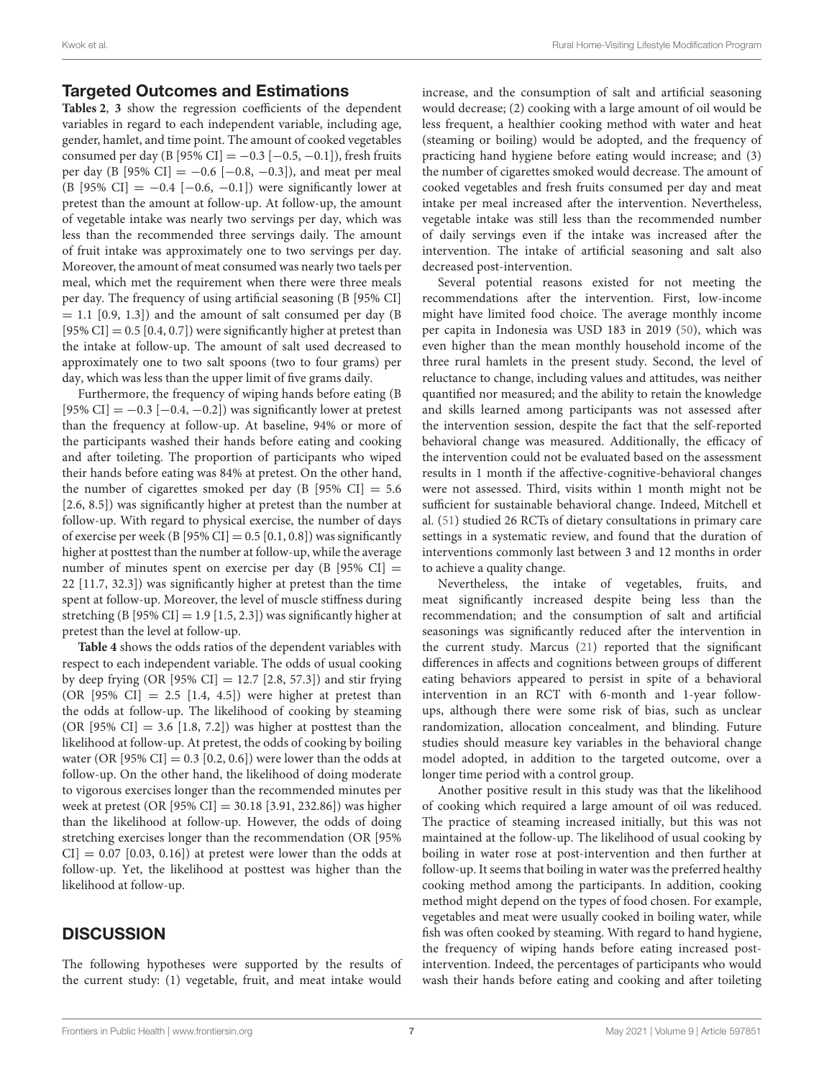### Targeted Outcomes and Estimations

**[Tables 2](#page-5-0)**, **[3](#page-5-1)** show the regression coefficients of the dependent variables in regard to each independent variable, including age, gender, hamlet, and time point. The amount of cooked vegetables consumed per day (B [95% CI] =  $-0.3$  [ $-0.5, -0.1$ ]), fresh fruits per day (B [95% CI] =  $-0.6$  [ $-0.8, -0.3$ ]), and meat per meal (B [95% CI] =  $-0.4$  [ $-0.6$ ,  $-0.1$ ]) were significantly lower at pretest than the amount at follow-up. At follow-up, the amount of vegetable intake was nearly two servings per day, which was less than the recommended three servings daily. The amount of fruit intake was approximately one to two servings per day. Moreover, the amount of meat consumed was nearly two taels per meal, which met the requirement when there were three meals per day. The frequency of using artificial seasoning (B [95% CI]  $= 1.1$  [0.9, 1.3]) and the amount of salt consumed per day (B)  $[95\% \text{ CI}] = 0.5 [0.4, 0.7]$  were significantly higher at pretest than the intake at follow-up. The amount of salt used decreased to approximately one to two salt spoons (two to four grams) per day, which was less than the upper limit of five grams daily.

Furthermore, the frequency of wiping hands before eating (B  $[95\% \text{ CI}] = -0.3 [-0.4, -0.2])$  was significantly lower at pretest than the frequency at follow-up. At baseline, 94% or more of the participants washed their hands before eating and cooking and after toileting. The proportion of participants who wiped their hands before eating was 84% at pretest. On the other hand, the number of cigarettes smoked per day  $(B \mid 95\% \text{ CI}] = 5.6$ [2.6, 8.5]) was significantly higher at pretest than the number at follow-up. With regard to physical exercise, the number of days of exercise per week (B [95% CI] =  $0.5$  [0.1, 0.8]) was significantly higher at posttest than the number at follow-up, while the average number of minutes spent on exercise per day (B [95% CI] = 22 [11.7, 32.3]) was significantly higher at pretest than the time spent at follow-up. Moreover, the level of muscle stiffness during stretching (B [95% CI] = 1.9 [1.5, 2.3]) was significantly higher at pretest than the level at follow-up.

**[Table 4](#page-7-0)** shows the odds ratios of the dependent variables with respect to each independent variable. The odds of usual cooking by deep frying (OR [95% CI] = 12.7 [2.8, 57.3]) and stir frying  $(OR [95\% CI] = 2.5 [1.4, 4.5])$  were higher at pretest than the odds at follow-up. The likelihood of cooking by steaming (OR  $[95\% \text{ CI}] = 3.6 [1.8, 7.2]$ ) was higher at posttest than the likelihood at follow-up. At pretest, the odds of cooking by boiling water (OR [95% CI] =  $0.3$  [0.2, 0.6]) were lower than the odds at follow-up. On the other hand, the likelihood of doing moderate to vigorous exercises longer than the recommended minutes per week at pretest (OR [95% CI] = 30.18 [3.91, 232.86]) was higher than the likelihood at follow-up. However, the odds of doing stretching exercises longer than the recommendation (OR [95%  $CI$ ] = 0.07 [0.03, 0.16]) at pretest were lower than the odds at follow-up. Yet, the likelihood at posttest was higher than the likelihood at follow-up.

### **DISCUSSION**

The following hypotheses were supported by the results of the current study: (1) vegetable, fruit, and meat intake would increase, and the consumption of salt and artificial seasoning would decrease; (2) cooking with a large amount of oil would be less frequent, a healthier cooking method with water and heat (steaming or boiling) would be adopted, and the frequency of practicing hand hygiene before eating would increase; and (3) the number of cigarettes smoked would decrease. The amount of cooked vegetables and fresh fruits consumed per day and meat intake per meal increased after the intervention. Nevertheless, vegetable intake was still less than the recommended number of daily servings even if the intake was increased after the intervention. The intake of artificial seasoning and salt also decreased post-intervention.

Several potential reasons existed for not meeting the recommendations after the intervention. First, low-income might have limited food choice. The average monthly income per capita in Indonesia was USD 183 in 2019 [\(50\)](#page-9-23), which was even higher than the mean monthly household income of the three rural hamlets in the present study. Second, the level of reluctance to change, including values and attitudes, was neither quantified nor measured; and the ability to retain the knowledge and skills learned among participants was not assessed after the intervention session, despite the fact that the self-reported behavioral change was measured. Additionally, the efficacy of the intervention could not be evaluated based on the assessment results in 1 month if the affective-cognitive-behavioral changes were not assessed. Third, visits within 1 month might not be sufficient for sustainable behavioral change. Indeed, Mitchell et al. [\(51\)](#page-9-24) studied 26 RCTs of dietary consultations in primary care settings in a systematic review, and found that the duration of interventions commonly last between 3 and 12 months in order to achieve a quality change.

Nevertheless, the intake of vegetables, fruits, and meat significantly increased despite being less than the recommendation; and the consumption of salt and artificial seasonings was significantly reduced after the intervention in the current study. Marcus [\(21\)](#page-8-19) reported that the significant differences in affects and cognitions between groups of different eating behaviors appeared to persist in spite of a behavioral intervention in an RCT with 6-month and 1-year followups, although there were some risk of bias, such as unclear randomization, allocation concealment, and blinding. Future studies should measure key variables in the behavioral change model adopted, in addition to the targeted outcome, over a longer time period with a control group.

Another positive result in this study was that the likelihood of cooking which required a large amount of oil was reduced. The practice of steaming increased initially, but this was not maintained at the follow-up. The likelihood of usual cooking by boiling in water rose at post-intervention and then further at follow-up. It seems that boiling in water was the preferred healthy cooking method among the participants. In addition, cooking method might depend on the types of food chosen. For example, vegetables and meat were usually cooked in boiling water, while fish was often cooked by steaming. With regard to hand hygiene, the frequency of wiping hands before eating increased postintervention. Indeed, the percentages of participants who would wash their hands before eating and cooking and after toileting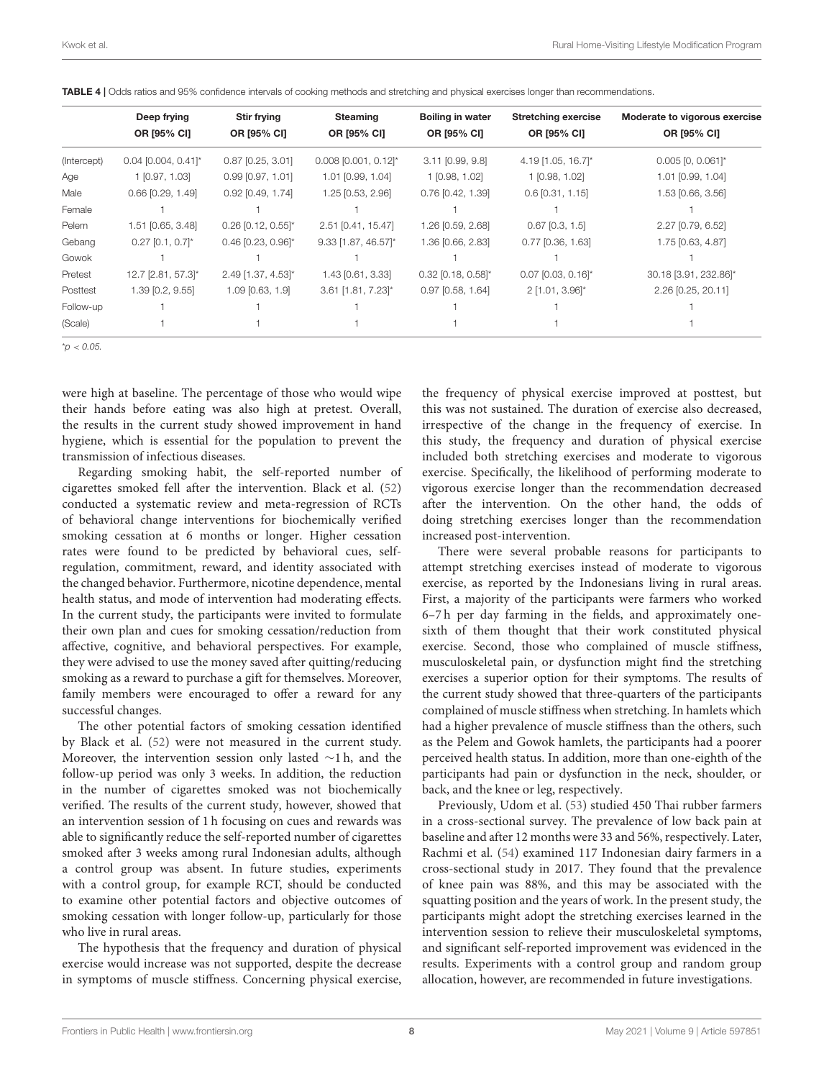| Deep frying                       | Stir frying             | <b>Steaming</b>        | <b>Boiling in water</b> | <b>Stretching exercise</b> | Moderate to vigorous exercise |  |
|-----------------------------------|-------------------------|------------------------|-------------------------|----------------------------|-------------------------------|--|
| OR [95% CI]                       | <b>OR [95% CI]</b>      | OR [95% CI]            | OR [95% CI]             | OR [95% CI]                | <b>OR [95% CI]</b>            |  |
| $0.04$ [0.004, 0.41] <sup>*</sup> | $0.87$ [0.25, 3.01]     | $0.008$ [0.001, 0.12]* | $3.11$ [0.99, 9.8]      | $4.19$ [1.05, 16.7]*       | $0.005$ [0, 0.061]*           |  |
| 1 [0.97, 1.03]                    | $0.99$ [0.97, 1.01]     | 1.01 [0.99, 1.04]      | 1 [0.98, 1.02]          | 1 [0.98, 1.02]             | 1.01 [0.99, 1.04]             |  |
| $0.66$ [0.29, 1.49]               | $0.92$ [0.49, 1.74]     | 1.25 [0.53, 2.96]      | $0.76$ $[0.42, 1.39]$   | $0.6$ [0.31, 1.15]         | 1.53 [0.66, 3.56]             |  |
|                                   |                         |                        |                         |                            |                               |  |
| 1.51 [0.65, 3.48]                 | $0.26$ [0.12, $0.55$ ]* | 2.51 [0.41, 15.47]     | 1.26 [0.59, 2.68]       | $0.67$ [0.3, 1.5]          | 2.27 [0.79, 6.52]             |  |
| $0.27$ [0.1, 0.7]*                | $0.46$ [0.23, 0.96]*    | $9.33$ [1.87, 46.57]*  | 1.36 [0.66, 2.83]       | $0.77$ [0.36, 1.63]        | 1.75 [0.63, 4.87]             |  |
|                                   |                         |                        |                         |                            |                               |  |
| 12.7 [2.81, 57.3]*                | 2.49 [1.37, 4.53]*      | 1.43 [0.61, 3.33]      | $0.32$ [0.18, 0.58]*    | $0.07$ [0.03, 0.16]*       | 30.18 [3.91, 232.86]*         |  |
| $1.39$ [0.2, 9.55]                | $1.09$ [0.63, 1.9]      | 3.61 [1.81, 7.23]*     | $0.97$ [0.58, 1.64]     | $2$ [1.01, 3.96]*          | 2.26 [0.25, 20.11]            |  |
|                                   |                         |                        |                         |                            |                               |  |
|                                   |                         |                        |                         |                            |                               |  |
|                                   |                         |                        |                         |                            |                               |  |

<span id="page-7-0"></span>

| TABLE 4   Odds ratios and 95% confidence intervals of cooking methods and stretching and physical exercises longer than recommendations. |  |  |  |
|------------------------------------------------------------------------------------------------------------------------------------------|--|--|--|
|------------------------------------------------------------------------------------------------------------------------------------------|--|--|--|

\**p* < *0.05.*

were high at baseline. The percentage of those who would wipe their hands before eating was also high at pretest. Overall, the results in the current study showed improvement in hand hygiene, which is essential for the population to prevent the transmission of infectious diseases.

Regarding smoking habit, the self-reported number of cigarettes smoked fell after the intervention. Black et al. [\(52\)](#page-9-25) conducted a systematic review and meta-regression of RCTs of behavioral change interventions for biochemically verified smoking cessation at 6 months or longer. Higher cessation rates were found to be predicted by behavioral cues, selfregulation, commitment, reward, and identity associated with the changed behavior. Furthermore, nicotine dependence, mental health status, and mode of intervention had moderating effects. In the current study, the participants were invited to formulate their own plan and cues for smoking cessation/reduction from affective, cognitive, and behavioral perspectives. For example, they were advised to use the money saved after quitting/reducing smoking as a reward to purchase a gift for themselves. Moreover, family members were encouraged to offer a reward for any successful changes.

The other potential factors of smoking cessation identified by Black et al. [\(52\)](#page-9-25) were not measured in the current study. Moreover, the intervention session only lasted ∼1 h, and the follow-up period was only 3 weeks. In addition, the reduction in the number of cigarettes smoked was not biochemically verified. The results of the current study, however, showed that an intervention session of 1 h focusing on cues and rewards was able to significantly reduce the self-reported number of cigarettes smoked after 3 weeks among rural Indonesian adults, although a control group was absent. In future studies, experiments with a control group, for example RCT, should be conducted to examine other potential factors and objective outcomes of smoking cessation with longer follow-up, particularly for those who live in rural areas.

The hypothesis that the frequency and duration of physical exercise would increase was not supported, despite the decrease in symptoms of muscle stiffness. Concerning physical exercise, the frequency of physical exercise improved at posttest, but this was not sustained. The duration of exercise also decreased, irrespective of the change in the frequency of exercise. In this study, the frequency and duration of physical exercise included both stretching exercises and moderate to vigorous exercise. Specifically, the likelihood of performing moderate to vigorous exercise longer than the recommendation decreased after the intervention. On the other hand, the odds of doing stretching exercises longer than the recommendation increased post-intervention.

There were several probable reasons for participants to attempt stretching exercises instead of moderate to vigorous exercise, as reported by the Indonesians living in rural areas. First, a majority of the participants were farmers who worked 6–7 h per day farming in the fields, and approximately onesixth of them thought that their work constituted physical exercise. Second, those who complained of muscle stiffness, musculoskeletal pain, or dysfunction might find the stretching exercises a superior option for their symptoms. The results of the current study showed that three-quarters of the participants complained of muscle stiffness when stretching. In hamlets which had a higher prevalence of muscle stiffness than the others, such as the Pelem and Gowok hamlets, the participants had a poorer perceived health status. In addition, more than one-eighth of the participants had pain or dysfunction in the neck, shoulder, or back, and the knee or leg, respectively.

Previously, Udom et al. [\(53\)](#page-9-26) studied 450 Thai rubber farmers in a cross-sectional survey. The prevalence of low back pain at baseline and after 12 months were 33 and 56%, respectively. Later, Rachmi et al. [\(54\)](#page-9-27) examined 117 Indonesian dairy farmers in a cross-sectional study in 2017. They found that the prevalence of knee pain was 88%, and this may be associated with the squatting position and the years of work. In the present study, the participants might adopt the stretching exercises learned in the intervention session to relieve their musculoskeletal symptoms, and significant self-reported improvement was evidenced in the results. Experiments with a control group and random group allocation, however, are recommended in future investigations.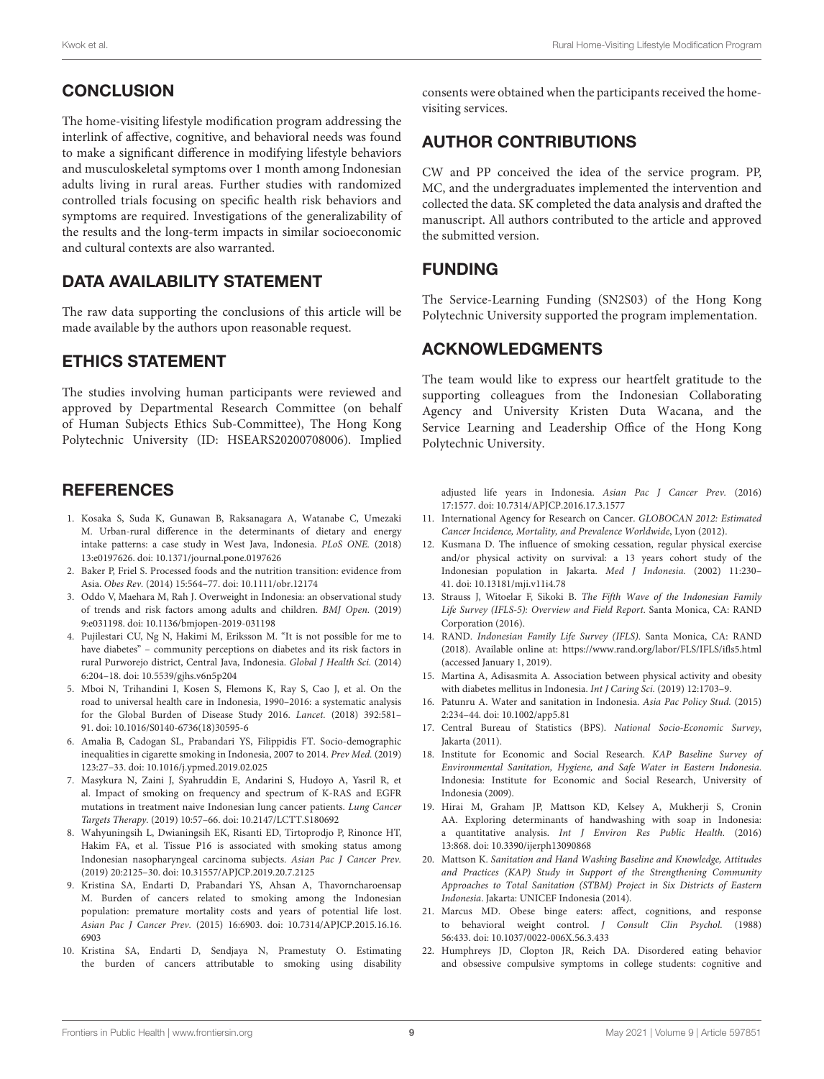# **CONCLUSION**

The home-visiting lifestyle modification program addressing the interlink of affective, cognitive, and behavioral needs was found to make a significant difference in modifying lifestyle behaviors and musculoskeletal symptoms over 1 month among Indonesian adults living in rural areas. Further studies with randomized controlled trials focusing on specific health risk behaviors and symptoms are required. Investigations of the generalizability of the results and the long-term impacts in similar socioeconomic and cultural contexts are also warranted.

### DATA AVAILABILITY STATEMENT

The raw data supporting the conclusions of this article will be made available by the authors upon reasonable request.

### ETHICS STATEMENT

The studies involving human participants were reviewed and approved by Departmental Research Committee (on behalf of Human Subjects Ethics Sub-Committee), The Hong Kong Polytechnic University (ID: HSEARS20200708006). Implied

### **REFERENCES**

- <span id="page-8-0"></span>1. Kosaka S, Suda K, Gunawan B, Raksanagara A, Watanabe C, Umezaki M. Urban-rural difference in the determinants of dietary and energy intake patterns: a case study in West Java, Indonesia. PLoS ONE. (2018) 13:e0197626. doi: [10.1371/journal.pone.0197626](https://doi.org/10.1371/journal.pone.0197626)
- <span id="page-8-1"></span>2. Baker P, Friel S. Processed foods and the nutrition transition: evidence from Asia. Obes Rev. (2014) 15:564–77. doi: [10.1111/obr.12174](https://doi.org/10.1111/obr.12174)
- <span id="page-8-2"></span>3. Oddo V, Maehara M, Rah J. Overweight in Indonesia: an observational study of trends and risk factors among adults and children. BMJ Open. (2019) 9:e031198. doi: [10.1136/bmjopen-2019-031198](https://doi.org/10.1136/bmjopen-2019-031198)
- <span id="page-8-3"></span>4. Pujilestari CU, Ng N, Hakimi M, Eriksson M. "It is not possible for me to have diabetes" – community perceptions on diabetes and its risk factors in rural Purworejo district, Central Java, Indonesia. Global J Health Sci. (2014) 6:204–18. doi: [10.5539/gjhs.v6n5p204](https://doi.org/10.5539/gjhs.v6n5p204)
- <span id="page-8-4"></span>5. Mboi N, Trihandini I, Kosen S, Flemons K, Ray S, Cao J, et al. On the road to universal health care in Indonesia, 1990–2016: a systematic analysis for the Global Burden of Disease Study 2016. Lancet. (2018) 392:581– 91. doi: [10.1016/S0140-6736\(18\)30595-6](https://doi.org/10.1016/S0140-6736(18)30595-6)
- <span id="page-8-5"></span>6. Amalia B, Cadogan SL, Prabandari YS, Filippidis FT. Socio-demographic inequalities in cigarette smoking in Indonesia, 2007 to 2014. Prev Med. (2019) 123:27–33. doi: [10.1016/j.ypmed.2019.02.025](https://doi.org/10.1016/j.ypmed.2019.02.025)
- <span id="page-8-6"></span>7. Masykura N, Zaini J, Syahruddin E, Andarini S, Hudoyo A, Yasril R, et al. Impact of smoking on frequency and spectrum of K-RAS and EGFR mutations in treatment naive Indonesian lung cancer patients. Lung Cancer Targets Therapy. (2019) 10:57–66. doi: [10.2147/LCTT.S180692](https://doi.org/10.2147/LCTT.S180692)
- <span id="page-8-7"></span>8. Wahyuningsih L, Dwianingsih EK, Risanti ED, Tirtoprodjo P, Rinonce HT, Hakim FA, et al. Tissue P16 is associated with smoking status among Indonesian nasopharyngeal carcinoma subjects. Asian Pac J Cancer Prev. (2019) 20:2125–30. doi: [10.31557/APJCP.2019.20.7.2125](https://doi.org/10.31557/APJCP.2019.20.7.2125)
- <span id="page-8-8"></span>9. Kristina SA, Endarti D, Prabandari YS, Ahsan A, Thavorncharoensap M. Burden of cancers related to smoking among the Indonesian population: premature mortality costs and years of potential life lost. Asian Pac J Cancer Prev. [\(2015\) 16:6903. doi: 10.7314/APJCP.2015.16.16.](https://doi.org/10.7314/APJCP.2015.16.16.6903) 6903
- <span id="page-8-9"></span>10. Kristina SA, Endarti D, Sendjaya N, Pramestuty O. Estimating the burden of cancers attributable to smoking using disability

consents were obtained when the participants received the homevisiting services.

### AUTHOR CONTRIBUTIONS

CW and PP conceived the idea of the service program. PP, MC, and the undergraduates implemented the intervention and collected the data. SK completed the data analysis and drafted the manuscript. All authors contributed to the article and approved the submitted version.

### FUNDING

The Service-Learning Funding (SN2S03) of the Hong Kong Polytechnic University supported the program implementation.

### ACKNOWLEDGMENTS

The team would like to express our heartfelt gratitude to the supporting colleagues from the Indonesian Collaborating Agency and University Kristen Duta Wacana, and the Service Learning and Leadership Office of the Hong Kong Polytechnic University.

adjusted life years in Indonesia. Asian Pac J Cancer Prev. (2016) 17:1577. doi: [10.7314/APJCP.2016.17.3.1577](https://doi.org/10.7314/APJCP.2016.17.3.1577)

- <span id="page-8-10"></span>11. International Agency for Research on Cancer. GLOBOCAN 2012: Estimated Cancer Incidence, Mortality, and Prevalence Worldwide, Lyon (2012).
- <span id="page-8-11"></span>12. Kusmana D. The influence of smoking cessation, regular physical exercise and/or physical activity on survival: a 13 years cohort study of the Indonesian population in Jakarta. Med J Indonesia. (2002) 11:230– 41. doi: [10.13181/mji.v11i4.78](https://doi.org/10.13181/mji.v11i4.78)
- <span id="page-8-12"></span>13. Strauss J, Witoelar F, Sikoki B. The Fifth Wave of the Indonesian Family Life Survey (IFLS-5): Overview and Field Report. Santa Monica, CA: RAND Corporation (2016).
- 14. RAND. Indonesian Family Life Survey (IFLS). Santa Monica, CA: RAND (2018). Available online at:<https://www.rand.org/labor/FLS/IFLS/ifls5.html> (accessed January 1, 2019).
- <span id="page-8-13"></span>15. Martina A, Adisasmita A. Association between physical activity and obesity with diabetes mellitus in Indonesia. Int J Caring Sci. (2019) 12:1703–9.
- <span id="page-8-14"></span>16. Patunru A. Water and sanitation in Indonesia. Asia Pac Policy Stud. (2015) 2:234–44. doi: [10.1002/app5.81](https://doi.org/10.1002/app5.81)
- <span id="page-8-15"></span>17. Central Bureau of Statistics (BPS). National Socio-Economic Survey, Jakarta (2011).
- <span id="page-8-16"></span>18. Institute for Economic and Social Research. KAP Baseline Survey of Environmental Sanitation, Hygiene, and Safe Water in Eastern Indonesia. Indonesia: Institute for Economic and Social Research, University of Indonesia (2009).
- <span id="page-8-17"></span>19. Hirai M, Graham JP, Mattson KD, Kelsey A, Mukherji S, Cronin AA. Exploring determinants of handwashing with soap in Indonesia: a quantitative analysis. Int J Environ Res Public Health. (2016) 13:868. doi: [10.3390/ijerph13090868](https://doi.org/10.3390/ijerph13090868)
- <span id="page-8-18"></span>20. Mattson K. Sanitation and Hand Washing Baseline and Knowledge, Attitudes and Practices (KAP) Study in Support of the Strengthening Community Approaches to Total Sanitation (STBM) Project in Six Districts of Eastern Indonesia. Jakarta: UNICEF Indonesia (2014).
- <span id="page-8-19"></span>21. Marcus MD. Obese binge eaters: affect, cognitions, and response to behavioral weight control. J Consult Clin Psychol. (1988) 56:433. doi: [10.1037/0022-006X.56.3.433](https://doi.org/10.1037/0022-006X.56.3.433)
- <span id="page-8-20"></span>22. Humphreys JD, Clopton JR, Reich DA. Disordered eating behavior and obsessive compulsive symptoms in college students: cognitive and